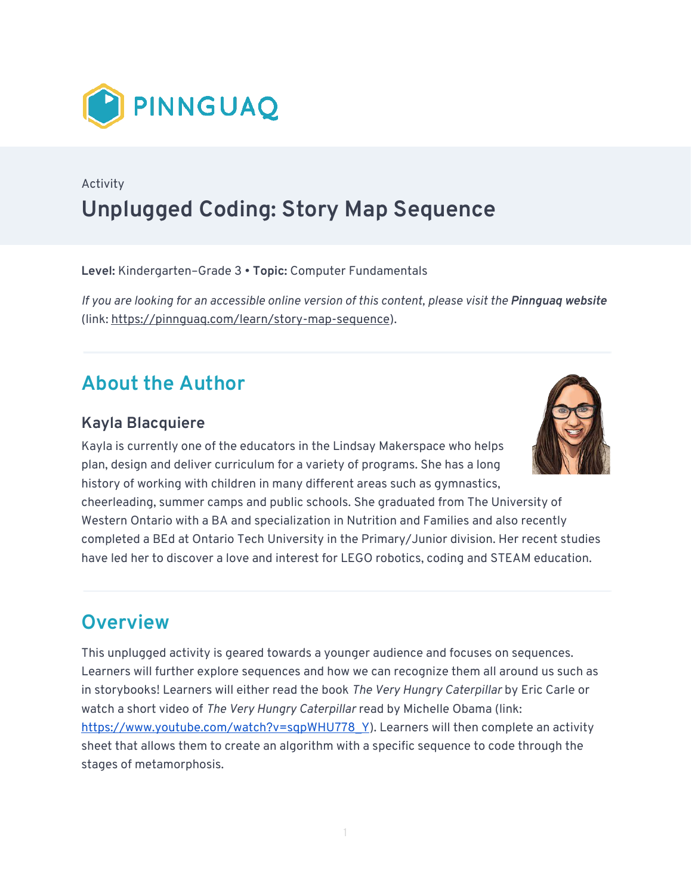

## Activity **Unplugged Coding: Story Map Sequence**

**Level:** Kindergarten–Grade 3 • **Topic:** Computer Fundamentals

*If you are looking for an accessible online version of this content, please visit the Pinnquaq website* (link: [https://pinnguaq.com/learn/story-map-sequence\)](https://pinnguaq.com/learn/story-map-sequence).

## **About the Author**

#### **Kayla Blacquiere**

Kayla is currently one of the educators in the Lindsay Makerspace who helps plan, design and deliver curriculum for a variety of programs. She has a long history of working with children in many different areas such as gymnastics,



cheerleading, summer camps and public schools. She graduated from The University of Western Ontario with a BA and specialization in Nutrition and Families and also recently completed a BEd at Ontario Tech University in the Primary/Junior division. Her recent studies have led her to discover a love and interest for LEGO robotics, coding and STEAM education.

#### **Overview**

This unplugged activity is geared towards a younger audience and focuses on sequences. Learners will further explore sequences and how we can recognize them all around us such as in storybooks! Learners will either read the book *The Very Hungry Caterpillar* by Eric Carle or watch a short video of *The Very Hungry Caterpillar* read by Michelle Obama (link: [https://www.youtube.com/watch?v=sqpWHU778\\_Y](https://www.youtube.com/watch?v=sqpWHU778_Y)). Learners will then complete an activity sheet that allows them to create an algorithm with a specific sequence to code through the stages of metamorphosis.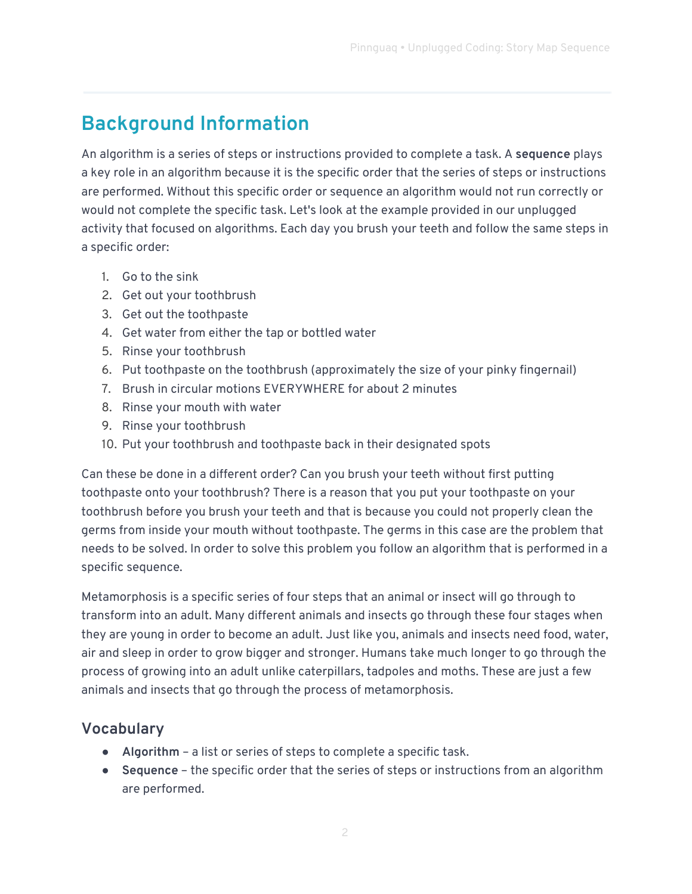# **Background Information**

An algorithm is a series of steps or instructions provided to complete a task. A **sequence** plays a key role in an algorithm because it is the specific order that the series of steps or instructions are performed. Without this specific order or sequence an algorithm would not run correctly or would not complete the specific task. Let's look at the example provided in our unplugged activity that focused on algorithms. Each day you brush your teeth and follow the same steps in a specific order:

- 1. Go to the sink
- 2. Get out your toothbrush
- 3. Get out the toothpaste
- 4. Get water from either the tap or bottled water
- 5. Rinse your toothbrush
- 6. Put toothpaste on the toothbrush (approximately the size of your pinky fingernail)
- 7. Brush in circular motions EVERYWHERE for about 2 minutes
- 8. Rinse your mouth with water
- 9. Rinse your toothbrush
- 10. Put your toothbrush and toothpaste back in their designated spots

Can these be done in a different order? Can you brush your teeth without first putting toothpaste onto your toothbrush? There is a reason that you put your toothpaste on your toothbrush before you brush your teeth and that is because you could not properly clean the germs from inside your mouth without toothpaste. The germs in this case are the problem that needs to be solved. In order to solve this problem you follow an algorithm that is performed in a specific sequence.

Metamorphosis is a specific series of four steps that an animal or insect will go through to transform into an adult. Many different animals and insects go through these four stages when they are young in order to become an adult. Just like you, animals and insects need food, water, air and sleep in order to grow bigger and stronger. Humans take much longer to go through the process of growing into an adult unlike caterpillars, tadpoles and moths. These are just a few animals and insects that go through the process of metamorphosis.

#### **Vocabulary**

- **Algorithm**  a list or series of steps to complete a specific task.
- **Sequence** the specific order that the series of steps or instructions from an algorithm are performed.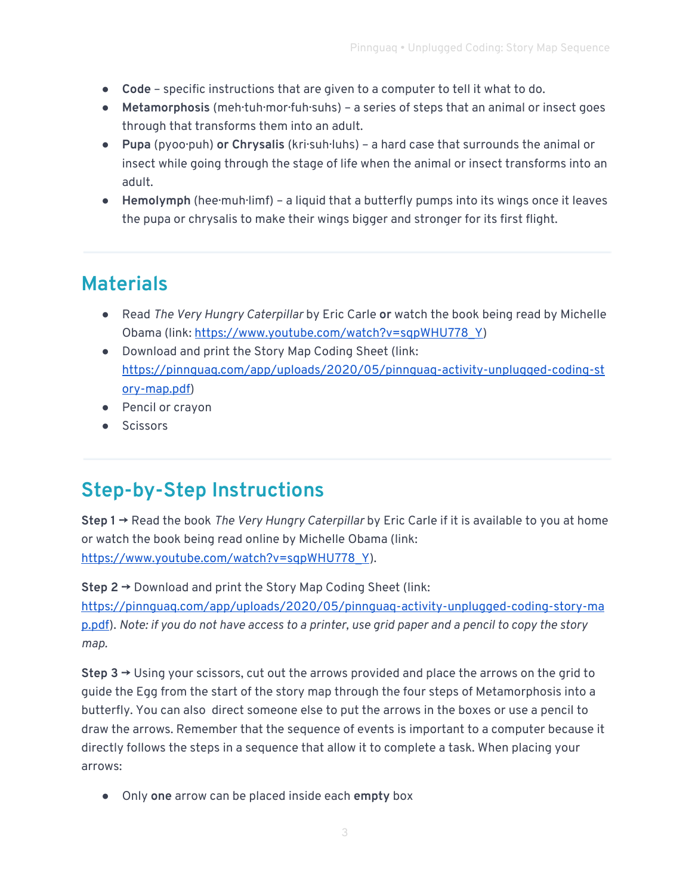- **Code** specific instructions that are given to a computer to tell it what to do.
- **Metamorphosis** (meh·tuh·mor·fuh·suhs) a series of steps that an animal or insect goes through that transforms them into an adult.
- **Pupa** (pyoo·puh) **or Chrysalis** (kri·suh·luhs) a hard case that surrounds the animal or insect while going through the stage of life when the animal or insect transforms into an adult.
- **Hemolymph** (hee·muh·limf) a liquid that a butterfly pumps into its wings once it leaves the pupa or chrysalis to make their wings bigger and stronger for its first flight.

## **Materials**

- Read *The Very Hungry Caterpillar* by Eric Carle **or** watch the book being read by Michelle Obama (link: [https://www.youtube.com/watch?v=sqpWHU778\\_Y\)](https://www.youtube.com/watch?v=sqpWHU778_Y)
- Download and print the Story Map Coding Sheet (link: [https://pinnguaq.com/app/uploads/2020/05/pinnguaq-activity-unplugged-coding-st](https://pinnguaq.com/app/uploads/2020/05/pinnguaq-activity-unplugged-coding-story-map.pdf) [ory-map.pdf\)](https://pinnguaq.com/app/uploads/2020/05/pinnguaq-activity-unplugged-coding-story-map.pdf)
- Pencil or crayon
- Scissors

## **Step-by-Step Instructions**

**Step 1 →** Read the book *The Very Hungry Caterpillar* by Eric Carle if it is available to you at home or watch the book being read online by Michelle Obama (link: [https://www.youtube.com/watch?v=sqpWHU778\\_Y](https://www.youtube.com/watch?v=sqpWHU778_Y)).

**Step 2 →** Download and print the Story Map Coding Sheet (link: [https://pinnguaq.com/app/uploads/2020/05/pinnguaq-activity-unplugged-coding-story-ma](https://pinnguaq.com/app/uploads/2020/05/pinnguaq-activity-unplugged-coding-story-map.pdf) [p.pdf\)](https://pinnguaq.com/app/uploads/2020/05/pinnguaq-activity-unplugged-coding-story-map.pdf). *Note: if you do not have access to a printer, use grid paper and a pencil to copy the story map.* 

**Step 3 →** Using your scissors, cut out the arrows provided and place the arrows on the grid to guide the Egg from the start of the story map through the four steps of Metamorphosis into a butterfly. You can also direct someone else to put the arrows in the boxes or use a pencil to draw the arrows. Remember that the sequence of events is important to a computer because it directly follows the steps in a sequence that allow it to complete a task. When placing your arrows:

● Only **one** arrow can be placed inside each **empty** box